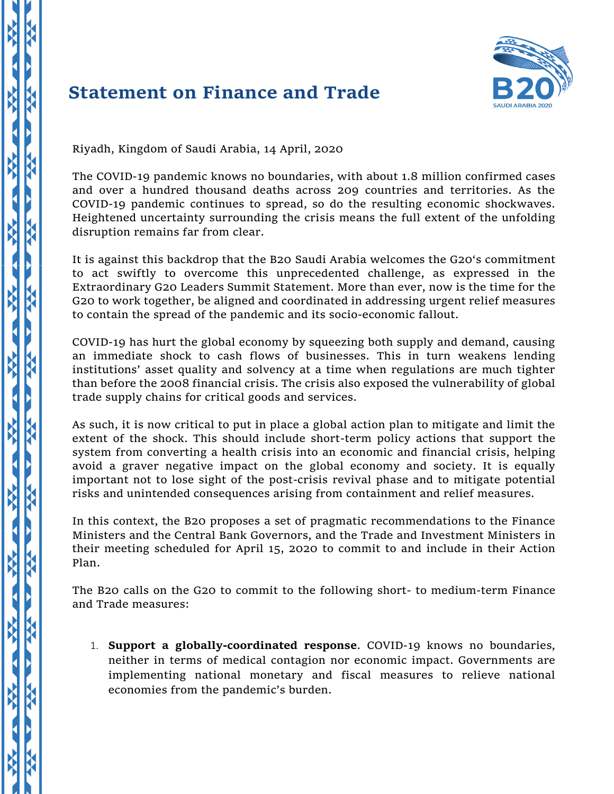## **Statement on Finance and Trade**



Riyadh, Kingdom of Saudi Arabia, 14 April, 2020

X

 $\overline{\mathbf{R}}$ 

K

 $\overline{\mathbf{A}}$ 

X

X

K

X

 $\overline{\mathbf{K}}$ 

X

XX

XX

X

XX

The COVID-19 pandemic knows no boundaries, with about 1.8 million confirmed cases and over a hundred thousand deaths across 209 countries and territories. As the COVID-19 pandemic continues to spread, so do the resulting economic shockwaves. Heightened uncertainty surrounding the crisis means the full extent of the unfolding disruption remains far from clear.

It is against this backdrop that the B20 Saudi Arabia welcomes the G20's commitment to act swiftly to overcome this unprecedented challenge, as expressed in the Extraordinary G20 Leaders Summit Statement. More than ever, now is the time for the G20 to work together, be aligned and coordinated in addressing urgent relief measures to contain the spread of the pandemic and its socio-economic fallout.

COVID-19 has hurt the global economy by squeezing both supply and demand, causing an immediate shock to cash flows of businesses. This in turn weakens lending institutions' asset quality and solvency at a time when regulations are much tighter than before the 2008 financial crisis. The crisis also exposed the vulnerability of global trade supply chains for critical goods and services.

As such, it is now critical to put in place a global action plan to mitigate and limit the extent of the shock. This should include short-term policy actions that support the system from converting a health crisis into an economic and financial crisis, helping avoid a graver negative impact on the global economy and society. It is equally important not to lose sight of the post-crisis revival phase and to mitigate potential risks and unintended consequences arising from containment and relief measures.

In this context, the B20 proposes a set of pragmatic recommendations to the Finance Ministers and the Central Bank Governors, and the Trade and Investment Ministers in their meeting scheduled for April 15, 2020 to commit to and include in their Action Plan.

The B20 calls on the G20 to commit to the following short- to medium-term Finance and Trade measures:

1. **Support a globally-coordinated response**. COVID-19 knows no boundaries, neither in terms of medical contagion nor economic impact. Governments are implementing national monetary and fiscal measures to relieve national economies from the pandemic's burden.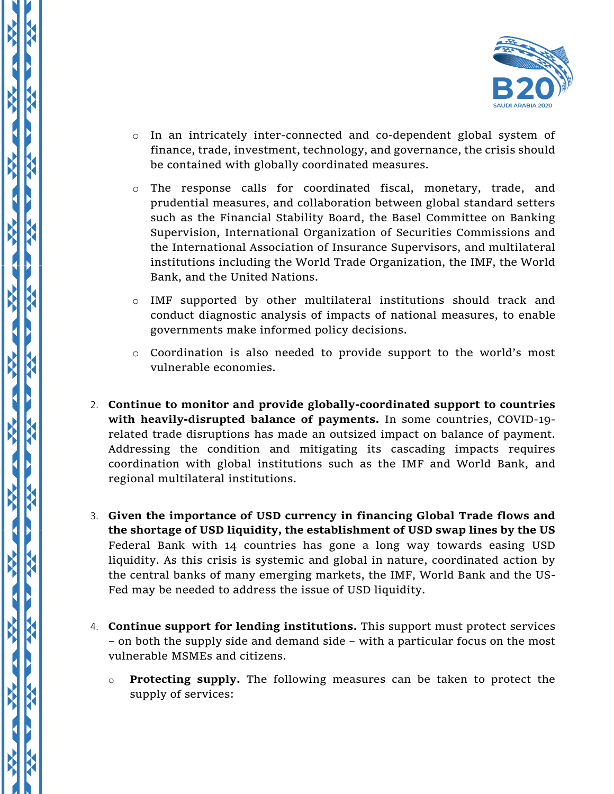

- o In an intricately inter-connected and co-dependent global system of finance, trade, investment, technology, and governance, the crisis should be contained with globally coordinated measures.
- $\circ$  The response calls for coordinated fiscal, monetary, trade, and prudential measures, and collaboration between global standard setters such as the Financial Stability Board, the Basel Committee on Banking Supervision, International Organization of Securities Commissions and the International Association of Insurance Supervisors, and multilateral institutions including the World Trade Organization, the IMF, the World Bank, and the United Nations.
- o IMF supported by other multilateral institutions should track and conduct diagnostic analysis of impacts of national measures, to enable governments make informed policy decisions.
- o Coordination is also needed to provide support to the world's most vulnerable economies.
- 2. **Continue to monitor and provide globally-coordinated support to countries with heavily-disrupted balance of payments.** In some countries, COVID-19 related trade disruptions has made an outsized impact on balance of payment. Addressing the condition and mitigating its cascading impacts requires coordination with global institutions such as the IMF and World Bank, and regional multilateral institutions.
- 3. **Given the importance of USD currency in financing Global Trade flows and the shortage of USD liquidity, the establishment of USD swap lines by the US**  Federal Bank with 14 countries has gone a long way towards easing USD liquidity. As this crisis is systemic and global in nature, coordinated action by the central banks of many emerging markets, the IMF, World Bank and the US-Fed may be needed to address the issue of USD liquidity.
- 4. **Continue support for lending institutions.** This support must protect services – on both the supply side and demand side – with a particular focus on the most vulnerable MSMEs and citizens.

K

Ķ

o **Protecting supply.** The following measures can be taken to protect the supply of services: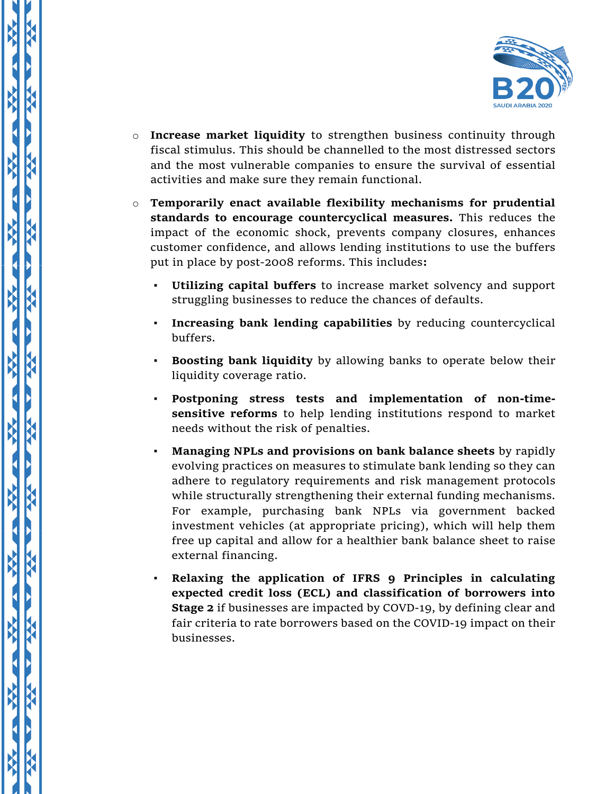

- o **Increase market liquidity** to strengthen business continuity through fiscal stimulus. This should be channelled to the most distressed sectors and the most vulnerable companies to ensure the survival of essential activities and make sure they remain functional.
- o **Temporarily enact available flexibility mechanisms for prudential standards to encourage countercyclical measures.** This reduces the impact of the economic shock, prevents company closures, enhances customer confidence, and allows lending institutions to use the buffers put in place by post-2008 reforms. This includes**:**
	- **Utilizing capital buffers** to increase market solvency and support struggling businesses to reduce the chances of defaults.
	- **Increasing bank lending capabilities** by reducing countercyclical buffers.
	- **Boosting bank liquidity** by allowing banks to operate below their liquidity coverage ratio.
	- **Postponing stress tests and implementation of non-timesensitive reforms** to help lending institutions respond to market needs without the risk of penalties.
	- **Managing NPLs and provisions on bank balance sheets** by rapidly evolving practices on measures to stimulate bank lending so they can adhere to regulatory requirements and risk management protocols while structurally strengthening their external funding mechanisms. For example, purchasing bank NPLs via government backed investment vehicles (at appropriate pricing), which will help them free up capital and allow for a healthier bank balance sheet to raise external financing.
	- **Relaxing the application of IFRS 9 Principles in calculating expected credit loss (ECL) and classification of borrowers into Stage 2** if businesses are impacted by COVD-19, by defining clear and fair criteria to rate borrowers based on the COVID-19 impact on their businesses.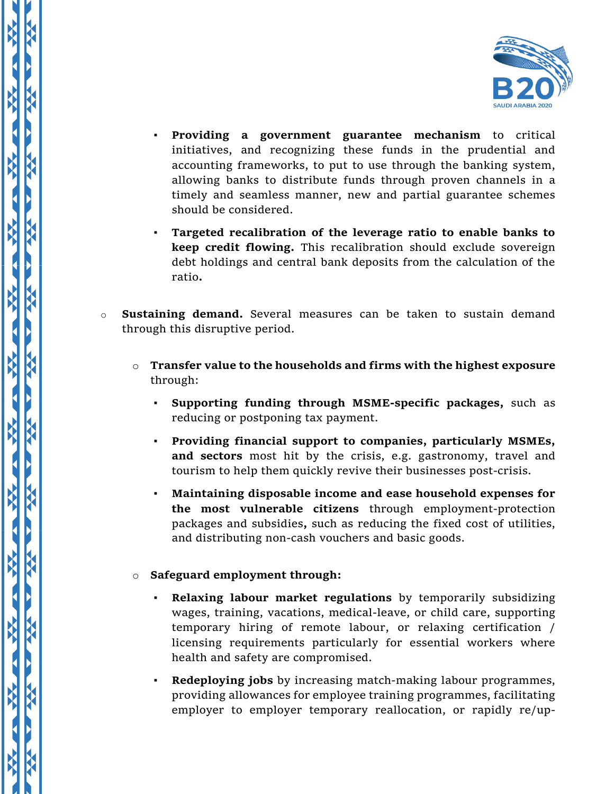

- **Providing a government guarantee mechanism** to critical initiatives, and recognizing these funds in the prudential and accounting frameworks, to put to use through the banking system, allowing banks to distribute funds through proven channels in a timely and seamless manner, new and partial guarantee schemes should be considered.
- **Targeted recalibration of the leverage ratio to enable banks to keep credit flowing.** This recalibration should exclude sovereign debt holdings and central bank deposits from the calculation of the ratio**.**
- o **Sustaining demand.** Several measures can be taken to sustain demand through this disruptive period.
	- o **Transfer value to the households and firms with the highest exposure** through:
		- **Supporting funding through MSME-specific packages,** such as reducing or postponing tax payment.
		- **Providing financial support to companies, particularly MSMEs, and sectors** most hit by the crisis, e.g. gastronomy, travel and tourism to help them quickly revive their businesses post-crisis.
		- **Maintaining disposable income and ease household expenses for the most vulnerable citizens** through employment-protection packages and subsidies**,** such as reducing the fixed cost of utilities, and distributing non-cash vouchers and basic goods.

## o **Safeguard employment through:**

 $\frac{1}{2}$ 

X

X

Ķ

- **Relaxing labour market regulations** by temporarily subsidizing wages, training, vacations, medical-leave, or child care, supporting temporary hiring of remote labour, or relaxing certification / licensing requirements particularly for essential workers where health and safety are compromised.
- **Redeploying jobs** by increasing match-making labour programmes, providing allowances for employee training programmes, facilitating employer to employer temporary reallocation, or rapidly re/up-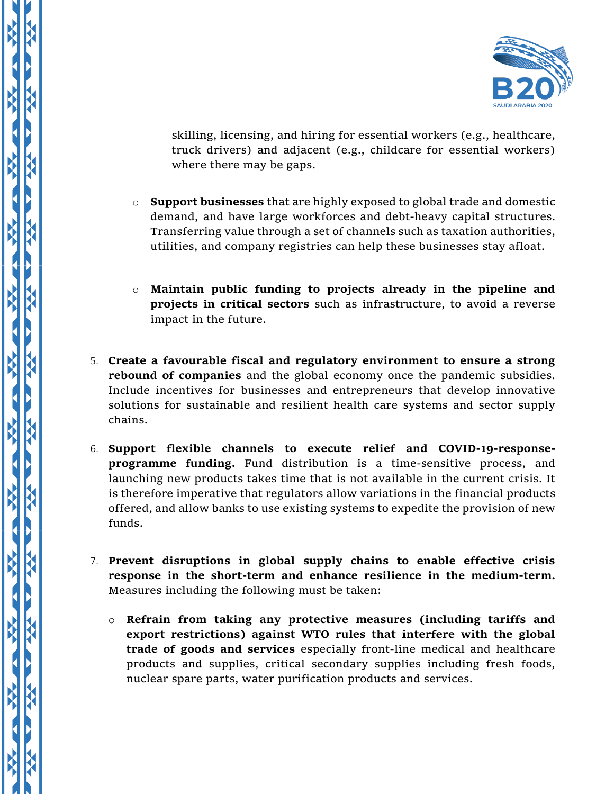

skilling, licensing, and hiring for essential workers (e.g., healthcare, truck drivers) and adjacent (e.g., childcare for essential workers) where there may be gaps.

- o **Support businesses** that are highly exposed to global trade and domestic demand, and have large workforces and debt-heavy capital structures. Transferring value through a set of channels such as taxation authorities, utilities, and company registries can help these businesses stay afloat.
- o **Maintain public funding to projects already in the pipeline and projects in critical sectors** such as infrastructure, to avoid a reverse impact in the future.
- 5. **Create a favourable fiscal and regulatory environment to ensure a strong rebound of companies** and the global economy once the pandemic subsidies. Include incentives for businesses and entrepreneurs that develop innovative solutions for sustainable and resilient health care systems and sector supply chains.
- 6. **Support flexible channels to execute relief and COVID-19-responseprogramme funding.** Fund distribution is a time-sensitive process, and launching new products takes time that is not available in the current crisis. It is therefore imperative that regulators allow variations in the financial products offered, and allow banks to use existing systems to expedite the provision of new funds.
- 7. **Prevent disruptions in global supply chains to enable effective crisis response in the short-term and enhance resilience in the medium-term.**  Measures including the following must be taken:
	- o **Refrain from taking any protective measures (including tariffs and export restrictions) against WTO rules that interfere with the global trade of goods and services** especially front-line medical and healthcare products and supplies, critical secondary supplies including fresh foods, nuclear spare parts, water purification products and services.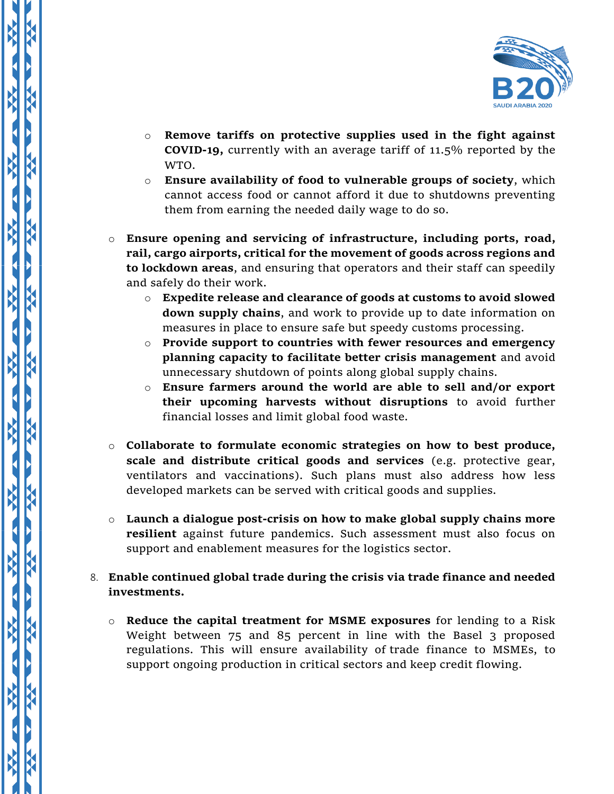

- o **Remove tariffs on protective supplies used in the fight against COVID-19,** currently with an average tariff of 11.5% reported by the WTO.
- o **Ensure availability of food to vulnerable groups of society**, which cannot access food or cannot afford it due to shutdowns preventing them from earning the needed daily wage to do so.
- o **Ensure opening and servicing of infrastructure, including ports, road, rail, cargo airports, critical for the movement of goods across regions and to lockdown areas**, and ensuring that operators and their staff can speedily and safely do their work.
	- o **Expedite release and clearance of goods at customs to avoid slowed down supply chains**, and work to provide up to date information on measures in place to ensure safe but speedy customs processing.
	- o **Provide support to countries with fewer resources and emergency planning capacity to facilitate better crisis management** and avoid unnecessary shutdown of points along global supply chains.
	- o **Ensure farmers around the world are able to sell and/or export their upcoming harvests without disruptions** to avoid further financial losses and limit global food waste.
- o **Collaborate to formulate economic strategies on how to best produce, scale and distribute critical goods and services** (e.g. protective gear, ventilators and vaccinations). Such plans must also address how less developed markets can be served with critical goods and supplies.
- o **Launch a dialogue post-crisis on how to make global supply chains more resilient** against future pandemics. Such assessment must also focus on support and enablement measures for the logistics sector.
- 8. **Enable continued global trade during the crisis via trade finance and needed investments.** 
	- o **Reduce the capital treatment for MSME exposures** for lending to a Risk Weight between 75 and 85 percent in line with the Basel 3 proposed regulations. This will ensure availability of trade finance to MSMEs, to support ongoing production in critical sectors and keep credit flowing.